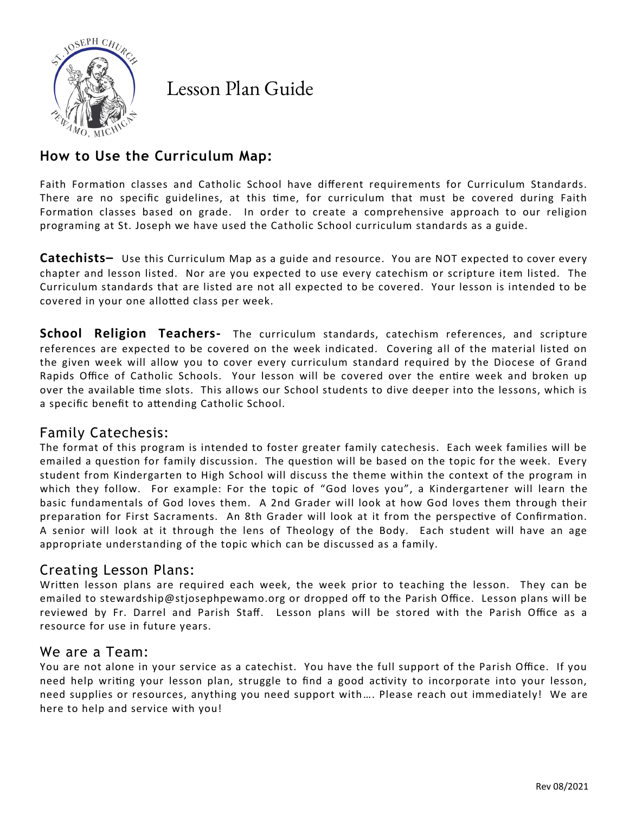

Lesson Plan Guide

# **How to Use the Curriculum Map:**

Faith Formation classes and Catholic School have different requirements for Curriculum Standards. There are no specific guidelines, at this time, for curriculum that must be covered during Faith Formation classes based on grade. In order to create a comprehensive approach to our religion programing at St. Joseph we have used the Catholic School curriculum standards as a guide.

**Catechists–** Use this Curriculum Map as a guide and resource. You are NOT expected to cover every chapter and lesson listed. Nor are you expected to use every catechism or scripture item listed. The Curriculum standards that are listed are not all expected to be covered. Your lesson is intended to be covered in your one allotted class per week.

**School Religion Teachers-** The curriculum standards, catechism references, and scripture references are expected to be covered on the week indicated. Covering all of the material listed on the given week will allow you to cover every curriculum standard required by the Diocese of Grand Rapids Office of Catholic Schools. Your lesson will be covered over the entire week and broken up over the available time slots. This allows our School students to dive deeper into the lessons, which is a specific benefit to attending Catholic School.

# Family Catechesis:

The format of this program is intended to foster greater family catechesis. Each week families will be emailed a question for family discussion. The question will be based on the topic for the week. Every student from Kindergarten to High School will discuss the theme within the context of the program in which they follow. For example: For the topic of "God loves you", a Kindergartener will learn the basic fundamentals of God loves them. A 2nd Grader will look at how God loves them through their preparation for First Sacraments. An 8th Grader will look at it from the perspective of Confirmation. A senior will look at it through the lens of Theology of the Body. Each student will have an age appropriate understanding of the topic which can be discussed as a family.

### Creating Lesson Plans:

Written lesson plans are required each week, the week prior to teaching the lesson. They can be emailed to stewardship@stjosephpewamo.org or dropped off to the Parish Office. Lesson plans will be reviewed by Fr. Darrel and Parish Staff. Lesson plans will be stored with the Parish Office as a resource for use in future years.

### We are a Team:

You are not alone in your service as a catechist. You have the full support of the Parish Office. If you need help writing your lesson plan, struggle to find a good activity to incorporate into your lesson, need supplies or resources, anything you need support with…. Please reach out immediately! We are here to help and service with you!